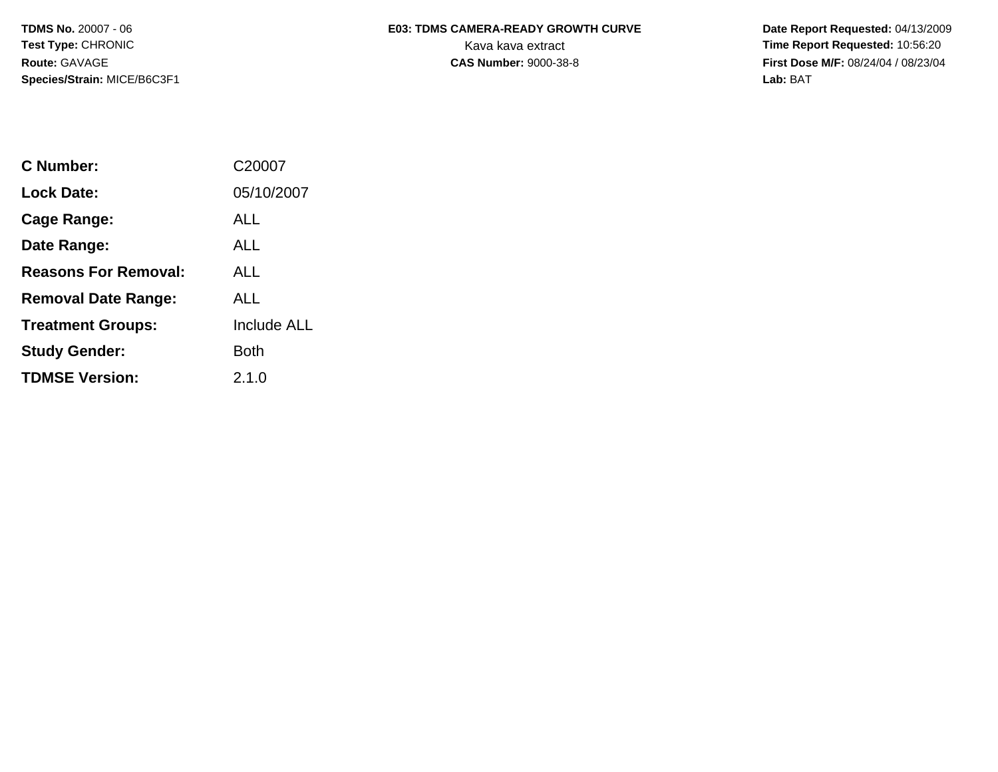**Species/Strain:** MICE/B6C3F1 **Lab:** BAT

## **TDMS No.** 20007 - 06 **E03: TDMS CAMERA-READY GROWTH CURVE** Date Report Requested: 04/13/2009 **Test Type: CHRONIC** CHRONIC CHRONIC CHRONIC CHARGE CHARGE CHARGE CHARGE CHARGE CHARGE CHARGE CHARGE CHARGE CHARGE CHARGE CHARGE CHARGE CHARGE CHARGE CHARGE CHARGE CHARGE CHARGE CHARGE CHARGE CHARGE CHARGE CHARGE CHARGE CH

**Route:** GAVAGE **CAS Number:** 9000-38-8 **First Dose M/F:** 08/24/04 / 08/23/04

| C Number:                   | C20007             |
|-----------------------------|--------------------|
| Lock Date:                  | 05/10/2007         |
| Cage Range:                 | ALL                |
| Date Range:                 | ALL                |
| <b>Reasons For Removal:</b> | ALL                |
| <b>Removal Date Range:</b>  | AI I               |
| <b>Treatment Groups:</b>    | <b>Include ALL</b> |
| <b>Study Gender:</b>        | Both               |
| <b>TDMSE Version:</b>       | 2.1.0              |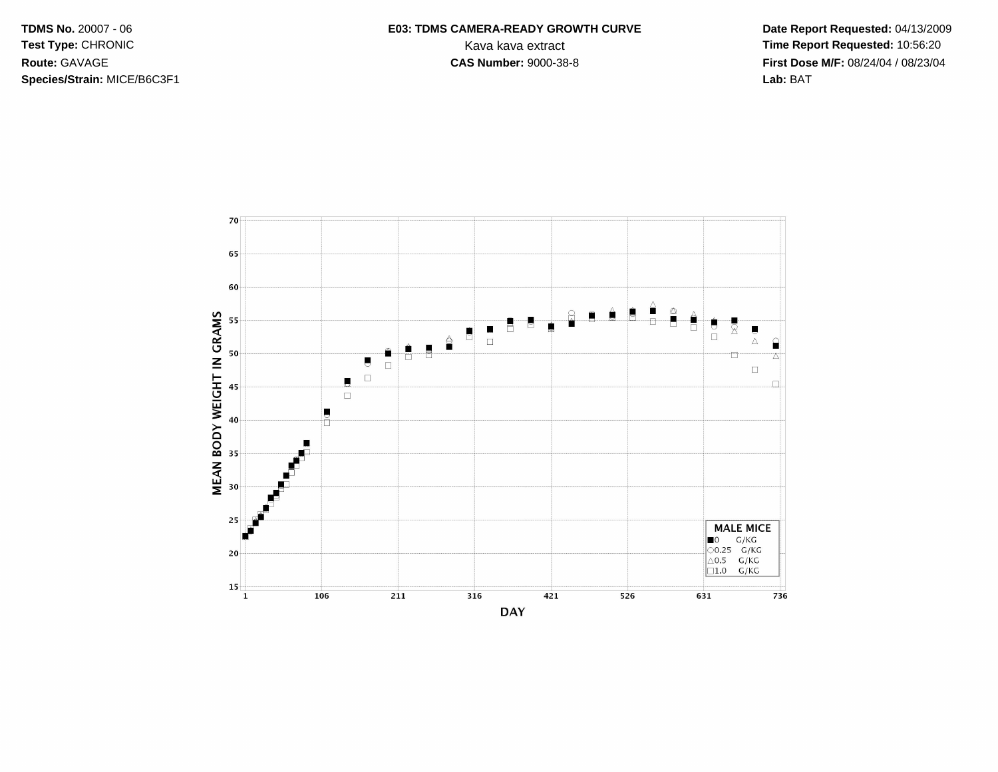**TDMS No. 20007 - 06** Test Type: CHRONIC Route: GAVAGE Species/Strain: MICE/B6C3F1

## E03: TDMS CAMERA-READY GROWTH CURVE Kava kava extract **CAS Number: 9000-38-8**

Date Report Requested: 04/13/2009 Time Report Requested: 10:56:20 First Dose M/F: 08/24/04 / 08/23/04 Lab: BAT